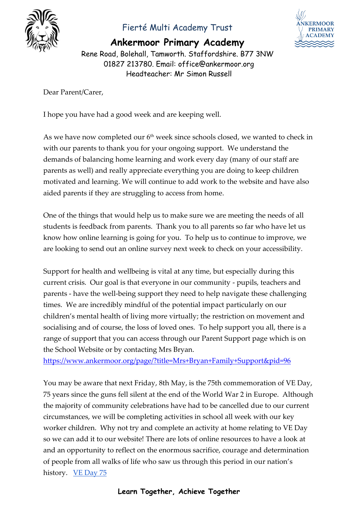

## Fierté Multi Academy Trust

**Ankermoor Primary Academy**



Rene Road, Bolehall, Tamworth. Staffordshire. B77 3NW 01827 213780. Email: office@ankermoor.org Headteacher: Mr Simon Russell

Dear Parent/Carer,

I hope you have had a good week and are keeping well.

As we have now completed our  $6<sup>th</sup>$  week since schools closed, we wanted to check in with our parents to thank you for your ongoing support. We understand the demands of balancing home learning and work every day (many of our staff are parents as well) and really appreciate everything you are doing to keep children motivated and learning. We will continue to add work to the website and have also aided parents if they are struggling to access from home.

One of the things that would help us to make sure we are meeting the needs of all students is feedback from parents. Thank you to all parents so far who have let us know how online learning is going for you. To help us to continue to improve, we are looking to send out an online survey next week to check on your accessibility.

Support for health and wellbeing is vital at any time, but especially during this current crisis. Our goal is that everyone in our community - pupils, teachers and parents - have the well-being support they need to help navigate these challenging times. We are incredibly mindful of the potential impact particularly on our children's mental health of living more virtually; the restriction on movement and socialising and of course, the loss of loved ones. To help support you all, there is a range of support that you can access through our Parent Support page which is on the School Website or by contacting Mrs Bryan.

<https://www.ankermoor.org/page/?title=Mrs+Bryan+Family+Support&pid=96>

You may be aware that next Friday, 8th May, is the 75th commemoration of VE Day, 75 years since the guns fell silent at the end of the World War 2 in Europe. Although the majority of community celebrations have had to be cancelled due to our current circumstances, we will be completing activities in school all week with our key worker children. Why not try and complete an activity at home relating to VE Day so we can add it to our website! There are lots of online resources to have a look at and an opportunity to reflect on the enormous sacrifice, courage and determination of people from all walks of life who saw us through this period in our nation's history. [VE Day 75](https://www.veday75.org/) 

## **Learn Together, Achieve Together**